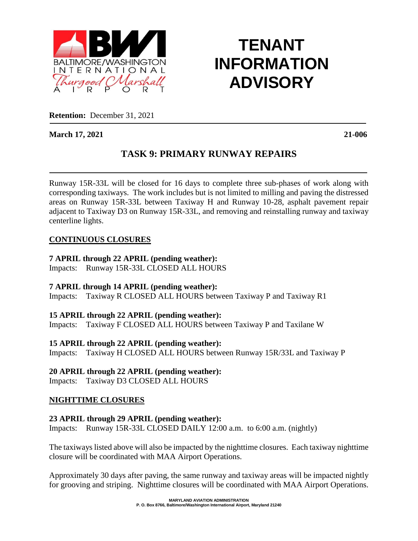

# **TENANT INFORMATION ADVISORY**

**Retention:** December 31, 2021

**March 17, 2021 21-006**

# **TASK 9: PRIMARY RUNWAY REPAIRS**

Runway 15R-33L will be closed for 16 days to complete three sub-phases of work along with corresponding taxiways. The work includes but is not limited to milling and paving the distressed areas on Runway 15R-33L between Taxiway H and Runway 10-28, asphalt pavement repair adjacent to Taxiway D3 on Runway 15R-33L, and removing and reinstalling runway and taxiway centerline lights.

#### **CONTINUOUS CLOSURES**

#### **7 APRIL through 22 APRIL (pending weather):**

Impacts: Runway 15R-33L CLOSED ALL HOURS

**7 APRIL through 14 APRIL (pending weather):**

Impacts: Taxiway R CLOSED ALL HOURS between Taxiway P and Taxiway R1

#### **15 APRIL through 22 APRIL (pending weather):**

Impacts: Taxiway F CLOSED ALL HOURS between Taxiway P and Taxilane W

#### **15 APRIL through 22 APRIL (pending weather):**

Impacts: Taxiway H CLOSED ALL HOURS between Runway 15R/33L and Taxiway P

## **20 APRIL through 22 APRIL (pending weather):**

Impacts: Taxiway D3 CLOSED ALL HOURS

## **NIGHTTIME CLOSURES**

#### **23 APRIL through 29 APRIL (pending weather):**

Impacts: Runway 15R-33L CLOSED DAILY 12:00 a.m. to 6:00 a.m. (nightly)

The taxiways listed above will also be impacted by the nighttime closures. Each taxiway nighttime closure will be coordinated with MAA Airport Operations.

Approximately 30 days after paving, the same runway and taxiway areas will be impacted nightly for grooving and striping. Nighttime closures will be coordinated with MAA Airport Operations.